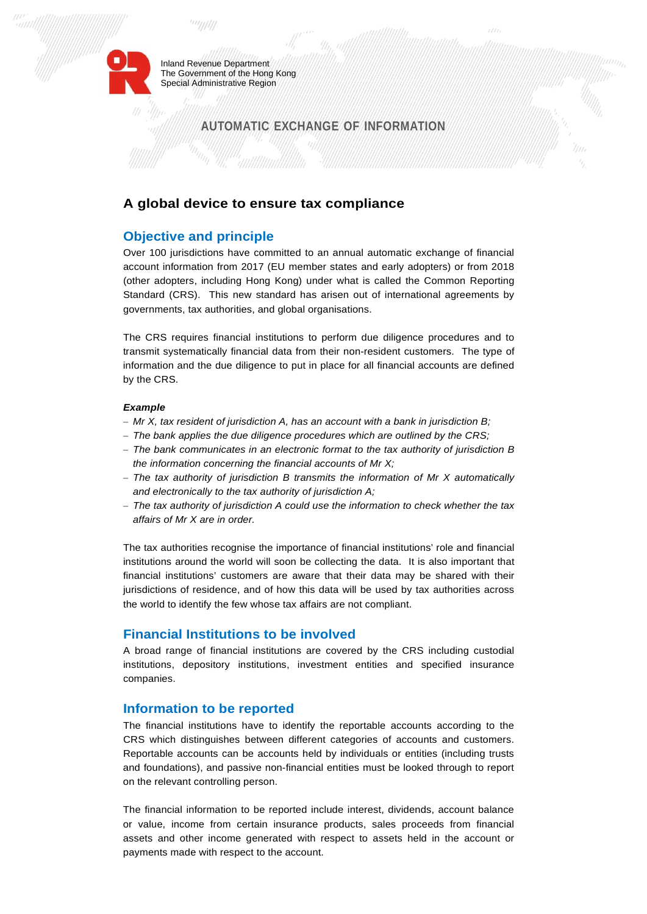

Inland Revenue Department The Government of the Hong Kong Special Administrative Region

# **AUTOMATIC EXCHANGE OF INFORMATION**

## **A global device to ensure tax compliance**

## **Objective and principle**

Over 100 jurisdictions have committed to an annual automatic exchange of financial account information from 2017 (EU member states and early adopters) or from 2018 (other adopters, including Hong Kong) under what is called the Common Reporting Standard (CRS). This new standard has arisen out of international agreements by governments, tax authorities, and global organisations.

The CRS requires financial institutions to perform due diligence procedures and to transmit systematically financial data from their non-resident customers. The type of information and the due diligence to put in place for all financial accounts are defined by the CRS.

#### *Example*

- *Mr X, tax resident of jurisdiction A, has an account with a bank in jurisdiction B;*
- *The bank applies the due diligence procedures which are outlined by the CRS;*
- *The bank communicates in an electronic format to the tax authority of jurisdiction B the information concerning the financial accounts of Mr X;*
- *The tax authority of jurisdiction B transmits the information of Mr X automatically and electronically to the tax authority of jurisdiction A;*
- *The tax authority of jurisdiction A could use the information to check whether the tax affairs of Mr X are in order.*

The tax authorities recognise the importance of financial institutions' role and financial institutions around the world will soon be collecting the data. It is also important that financial institutions' customers are aware that their data may be shared with their jurisdictions of residence, and of how this data will be used by tax authorities across the world to identify the few whose tax affairs are not compliant.

### **Financial Institutions to be involved**

A broad range of financial institutions are covered by the CRS including custodial institutions, depository institutions, investment entities and specified insurance companies.

### **Information to be reported**

The financial institutions have to identify the reportable accounts according to the CRS which distinguishes between different categories of accounts and customers. Reportable accounts can be accounts held by individuals or entities (including trusts and foundations), and passive non-financial entities must be looked through to report on the relevant controlling person.

The financial information to be reported include interest, dividends, account balance or value, income from certain insurance products, sales proceeds from financial assets and other income generated with respect to assets held in the account or payments made with respect to the account.